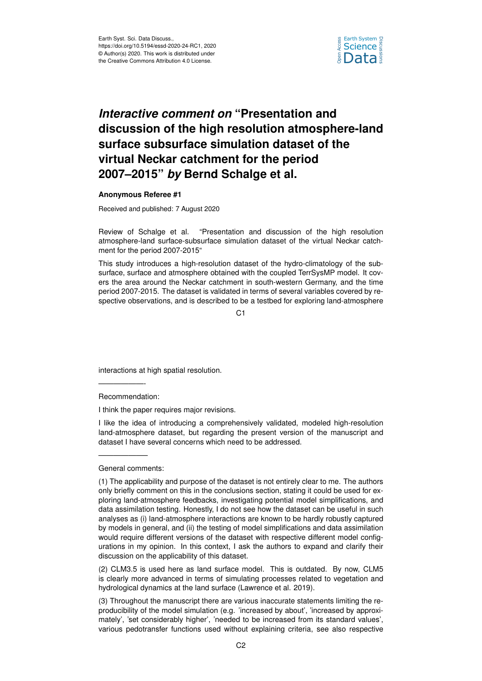

## *Interactive comment on* **"Presentation and discussion of the high resolution atmosphere-land surface subsurface simulation dataset of the virtual Neckar catchment for the period 2007–2015"** *by* **Bernd Schalge et al.**

## **Anonymous Referee #1**

Received and published: 7 August 2020

Review of Schalge et al. "Presentation and discussion of the high resolution atmosphere-land surface-subsurface simulation dataset of the virtual Neckar catchment for the period 2007-2015"

This study introduces a high-resolution dataset of the hydro-climatology of the subsurface, surface and atmosphere obtained with the coupled TerrSysMP model. It covers the area around the Neckar catchment in south-western Germany, and the time period 2007-2015. The dataset is validated in terms of several variables covered by respective observations, and is described to be a testbed for exploring land-atmosphere

C1

interactions at high spatial resolution.

Recommendation:

——————-

I think the paper requires major revisions.

I like the idea of introducing a comprehensively validated, modeled high-resolution land-atmosphere dataset, but regarding the present version of the manuscript and dataset I have several concerns which need to be addressed.

General comments:

——————–

(2) CLM3.5 is used here as land surface model. This is outdated. By now, CLM5 is clearly more advanced in terms of simulating processes related to vegetation and hydrological dynamics at the land surface (Lawrence et al. 2019).

(3) Throughout the manuscript there are various inaccurate statements limiting the reproducibility of the model simulation (e.g. 'increased by about', 'increased by approximately', 'set considerably higher', 'needed to be increased from its standard values', various pedotransfer functions used without explaining criteria, see also respective

<sup>(1)</sup> The applicability and purpose of the dataset is not entirely clear to me. The authors only briefly comment on this in the conclusions section, stating it could be used for exploring land-atmosphere feedbacks, investigating potential model simplifications, and data assimilation testing. Honestly, I do not see how the dataset can be useful in such analyses as (i) land-atmosphere interactions are known to be hardly robustly captured by models in general, and (ii) the testing of model simplifications and data assimilation would require different versions of the dataset with respective different model configurations in my opinion. In this context, I ask the authors to expand and clarify their discussion on the applicability of this dataset.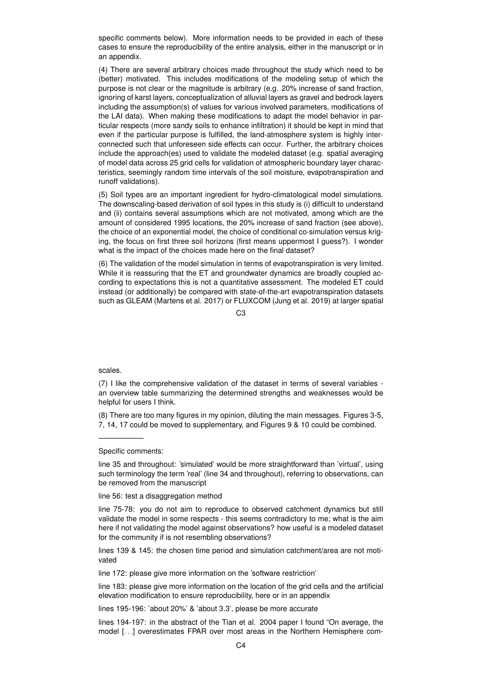specific comments below). More information needs to be provided in each of these cases to ensure the reproducibility of the entire analysis, either in the manuscript or in an appendix.

(4) There are several arbitrary choices made throughout the study which need to be (better) motivated. This includes modifications of the modeling setup of which the purpose is not clear or the magnitude is arbitrary (e.g. 20% increase of sand fraction, ignoring of karst layers, conceptualization of alluvial layers as gravel and bedrock layers including the assumption(s) of values for various involved parameters, modifications of the LAI data). When making these modifications to adapt the model behavior in particular respects (more sandy soils to enhance infiltration) it should be kept in mind that even if the particular purpose is fulfilled, the land-atmosphere system is highly interconnected such that unforeseen side effects can occur. Further, the arbitrary choices include the approach(es) used to validate the modeled dataset (e.g. spatial averaging of model data across 25 grid cells for validation of atmospheric boundary layer characteristics, seemingly random time intervals of the soil moisture, evapotranspiration and runoff validations).

(5) Soil types are an important ingredient for hydro-climatological model simulations. The downscaling-based derivation of soil types in this study is (i) difficult to understand and (ii) contains several assumptions which are not motivated, among which are the amount of considered 1995 locations, the 20% increase of sand fraction (see above), the choice of an exponential model, the choice of conditional co-simulation versus kriging, the focus on first three soil horizons (first means uppermost I guess?). I wonder what is the impact of the choices made here on the final dataset?

(6) The validation of the model simulation in terms of evapotranspiration is very limited. While it is reassuring that the ET and groundwater dynamics are broadly coupled according to expectations this is not a quantitative assessment. The modeled ET could instead (or additionally) be compared with state-of-the-art evapotranspiration datasets such as GLEAM (Martens et al. 2017) or FLUXCOM (Jung et al. 2019) at larger spatial

 $C<sub>3</sub>$ 

## scales.

(7) I like the comprehensive validation of the dataset in terms of several variables an overview table summarizing the determined strengths and weaknesses would be helpful for users I think.

(8) There are too many figures in my opinion, diluting the main messages. Figures 3-5, 7, 14, 17 could be moved to supplementary, and Figures 9 & 10 could be combined.

Specific comments:

——————

line 35 and throughout: 'simulated' would be more straightforward than 'virtual', using such terminology the term 'real' (line 34 and throughout), referring to observations, can be removed from the manuscript

line 56: test a disaggregation method

line 75-78: you do not aim to reproduce to observed catchment dynamics but still validate the model in some respects - this seems contradictory to me; what is the aim here if not validating the model against observations? how useful is a modeled dataset for the community if is not resembling observations?

lines 139 & 145: the chosen time period and simulation catchment/area are not motivated

line 172: please give more information on the 'software restriction'

line 183: please give more information on the location of the grid cells and the artificial elevation modification to ensure reproducibility, here or in an appendix

lines 195-196: 'about 20%' & 'about 3.3', please be more accurate

lines 194-197: in the abstract of the Tian et al. 2004 paper I found "On average, the model [. . .] overestimates FPAR over most areas in the Northern Hemisphere com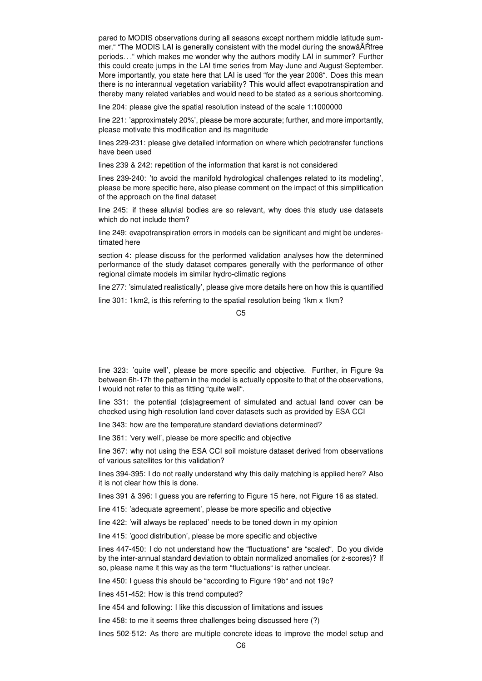pared to MODIS observations during all seasons except northern middle latitude summer." "The MODIS LAI is generally consistent with the model during the snowâATH free periods. . ." which makes me wonder why the authors modify LAI in summer? Further this could create jumps in the LAI time series from May-June and August-September. More importantly, you state here that LAI is used "for the year 2008". Does this mean there is no interannual vegetation variability? This would affect evapotranspiration and thereby many related variables and would need to be stated as a serious shortcoming.

line 204: please give the spatial resolution instead of the scale 1:1000000

line 221: 'approximately 20%', please be more accurate; further, and more importantly, please motivate this modification and its magnitude

lines 229-231: please give detailed information on where which pedotransfer functions have been used

lines 239 & 242: repetition of the information that karst is not considered

lines 239-240: 'to avoid the manifold hydrological challenges related to its modeling', please be more specific here, also please comment on the impact of this simplification of the approach on the final dataset

line 245: if these alluvial bodies are so relevant, why does this study use datasets which do not include them?

line 249: evapotranspiration errors in models can be significant and might be underestimated here

section 4: please discuss for the performed validation analyses how the determined performance of the study dataset compares generally with the performance of other regional climate models im similar hydro-climatic regions

line 277: 'simulated realistically', please give more details here on how this is quantified

line 301: 1km2, is this referring to the spatial resolution being 1km x 1km?

C5

line 323: 'quite well', please be more specific and objective. Further, in Figure 9a between 6h-17h the pattern in the model is actually opposite to that of the observations, I would not refer to this as fitting "quite well".

line 331: the potential (dis)agreement of simulated and actual land cover can be checked using high-resolution land cover datasets such as provided by ESA CCI

line 343: how are the temperature standard deviations determined?

line 361: 'very well', please be more specific and objective

line 367: why not using the ESA CCI soil moisture dataset derived from observations of various satellites for this validation?

lines 394-395: I do not really understand why this daily matching is applied here? Also it is not clear how this is done.

lines 391 & 396: I guess you are referring to Figure 15 here, not Figure 16 as stated.

line 415: 'adequate agreement', please be more specific and objective

line 422: 'will always be replaced' needs to be toned down in my opinion

line 415: 'good distribution', please be more specific and objective

lines 447-450: I do not understand how the "fluctuations" are "scaled". Do you divide by the inter-annual standard deviation to obtain normalized anomalies (or z-scores)? If so, please name it this way as the term "fluctuations" is rather unclear.

line 450: I guess this should be "according to Figure 19b" and not 19c?

lines 451-452: How is this trend computed?

line 454 and following: I like this discussion of limitations and issues

line 458: to me it seems three challenges being discussed here (?)

lines 502-512: As there are multiple concrete ideas to improve the model setup and